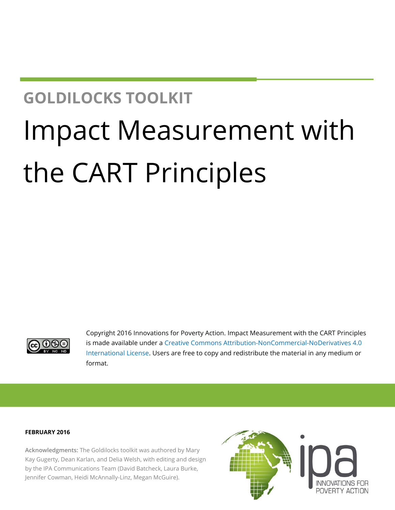## **GOLDILOCKS TOOLKIT**

# Impact Measurement with the CART Principles



Copyright 2016 Innovations for Poverty Action. Impact Measurement with the CART Principles is made available under a [Creative Commons Attribution-NonCommercial-NoDerivatives 4.0](http://creativecommons.org/licenses/by-nc-nd/4.0/)  [International License.](http://creativecommons.org/licenses/by-nc-nd/4.0/) Users are free to copy and redistribute the material in any medium or format.

#### **FEBRUARY 2016**

**Acknowledgments:** The Goldilocks toolkit was authored by Mary Kay Gugerty, Dean Karlan, and Delia Welsh, with editing and design by the IPA Communications Team (David Batcheck, Laura Burke, Jennifer Cowman, Heidi McAnnally-Linz, Megan McGuire).

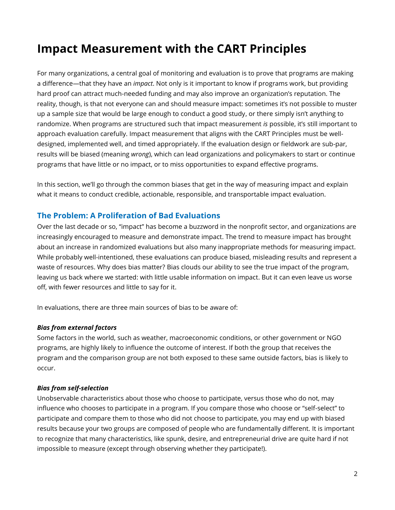### **Impact Measurement with the CART Principles**

For many organizations, a central goal of monitoring and evaluation is to prove that programs are making a difference—that they have an *impact*. Not only is it important to know if programs work, but providing hard proof can attract much-needed funding and may also improve an organization's reputation. The reality, though, is that not everyone can and should measure impact: sometimes it's not possible to muster up a sample size that would be large enough to conduct a good study, or there simply isn't anything to randomize. When programs are structured such that impact measurement *is* possible, it's still important to approach evaluation carefully. Impact measurement that aligns with the CART Principles must be welldesigned, implemented well, and timed appropriately. If the evaluation design or fieldwork are sub-par, results will be biased (meaning *wrong*), which can lead organizations and policymakers to start or continue programs that have little or no impact, or to miss opportunities to expand effective programs.

In this section, we'll go through the common biases that get in the way of measuring impact and explain what it means to conduct credible, actionable, responsible, and transportable impact evaluation.

#### **The Problem: A Proliferation of Bad Evaluations**

Over the last decade or so, "impact" has become a buzzword in the nonprofit sector, and organizations are increasingly encouraged to measure and demonstrate impact. The trend to measure impact has brought about an increase in randomized evaluations but also many inappropriate methods for measuring impact. While probably well-intentioned, these evaluations can produce biased, misleading results and represent a waste of resources. Why does bias matter? Bias clouds our ability to see the true impact of the program, leaving us back where we started: with little usable information on impact. But it can even leave us worse off, with fewer resources and little to say for it.

In evaluations, there are three main sources of bias to be aware of:

#### *Bias from external factors*

Some factors in the world, such as weather, macroeconomic conditions, or other government or NGO programs, are highly likely to influence the outcome of interest. If both the group that receives the program and the comparison group are not both exposed to these same outside factors, bias is likely to occur.

#### *Bias from self-selection*

Unobservable characteristics about those who choose to participate, versus those who do not, may influence who chooses to participate in a program. If you compare those who choose or "self-select" to participate and compare them to those who did not choose to participate, you may end up with biased results because your two groups are composed of people who are fundamentally different. It is important to recognize that many characteristics, like spunk, desire, and entrepreneurial drive are quite hard if not impossible to measure (except through observing whether they participate!).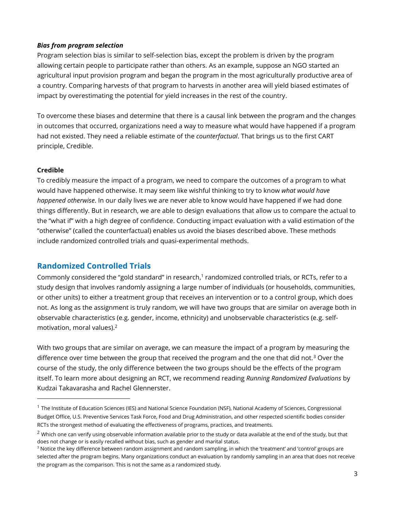#### *Bias from program selection*

Program selection bias is similar to self-selection bias, except the problem is driven by the program allowing certain people to participate rather than others. As an example, suppose an NGO started an agricultural input provision program and began the program in the most agriculturally productive area of a country. Comparing harvests of that program to harvests in another area will yield biased estimates of impact by overestimating the potential for yield increases in the rest of the country.

To overcome these biases and determine that there is a causal link between the program and the changes in outcomes that occurred, organizations need a way to measure what would have happened if a program had not existed. They need a reliable estimate of the *counterfactual*. That brings us to the first CART principle, Credible.

#### **Credible**

l

To credibly measure the impact of a program, we need to compare the outcomes of a program to what would have happened otherwise. It may seem like wishful thinking to try to know *what would have happened otherwise*. In our daily lives we are never able to know would have happened if we had done things differently. But in research, we are able to design evaluations that allow us to compare the actual to the "what if" with a high degree of confidence. Conducting impact evaluation with a valid estimation of the "otherwise" (called the counterfactual) enables us avoid the biases described above. These methods include randomized controlled trials and quasi-experimental methods.

#### **Randomized Controlled Trials**

Commonly considered the "gold standard" in research,<sup>1</sup> randomized controlled trials, or RCTs, refer to a study design that involves randomly assigning a large number of individuals (or households, communities, or other units) to either a treatment group that receives an intervention or to a control group, which does not. As long as the assignment is truly random, we will have two groups that are similar on average both in observable characteristics (e.g. gender, income, ethnicity) and unobservable characteristics (e.g. selfmotivation, moral values).<sup>2</sup>

With two groups that are similar on average, we can measure the impact of a program by measuring the difference over time between the group that received the program and the one that did not.<sup>3</sup> Over the course of the study, the only difference between the two groups should be the effects of the program itself. To learn more about designing an RCT, we recommend reading *Running Randomized Evaluations* by Kudzai Takavarasha and Rachel Glennerster.

<sup>&</sup>lt;sup>1</sup> The Institute of Education Sciences (IES) and National Science Foundation (NSF), National Academy of Sciences, Congressional Budget Office, U.S. Preventive Services Task Force, Food and Drug Administration, and other respected scientific bodies consider RCTs the strongest method of evaluating the effectiveness of programs, practices, and treatments.

 $2$  Which one can verify using observable information available prior to the study or data available at the end of the study, but that does not change or is easily recalled without bias, such as gender and marital status.

<sup>&</sup>lt;sup>3</sup> Notice the key difference between random assignment and random sampling, in which the 'treatment' and 'control' groups are selected after the program begins. Many organizations conduct an evaluation by randomly sampling in an area that does not receive the program as the comparison. This is not the same as a randomized study.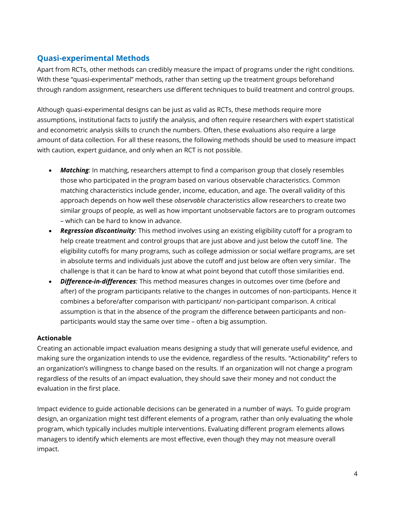#### **Quasi-experimental Methods**

Apart from RCTs, other methods can credibly measure the impact of programs under the right conditions. With these "quasi-experimental" methods, rather than setting up the treatment groups beforehand through random assignment, researchers use different techniques to build treatment and control groups.

Although quasi-experimental designs can be just as valid as RCTs, these methods require more assumptions, institutional facts to justify the analysis, and often require researchers with expert statistical and econometric analysis skills to crunch the numbers. Often, these evaluations also require a large amount of data collection. For all these reasons, the following methods should be used to measure impact with caution, expert guidance, and only when an RCT is not possible.

- *Matching:* In matching, researchers attempt to find a comparison group that closely resembles those who participated in the program based on various observable characteristics. Common matching characteristics include gender, income, education, and age. The overall validity of this approach depends on how well these *observable* characteristics allow researchers to create two similar groups of people, as well as how important unobservable factors are to program outcomes – which can be hard to know in advance.
- *Regression discontinuity:* This method involves using an existing eligibility cutoff for a program to help create treatment and control groups that are just above and just below the cutoff line. The eligibility cutoffs for many programs, such as college admission or social welfare programs, are set in absolute terms and individuals just above the cutoff and just below are often very similar. The challenge is that it can be hard to know at what point beyond that cutoff those similarities end.
- *Difference-in-differences:* This method measures changes in outcomes over time (before and after) of the program participants relative to the changes in outcomes of non-participants. Hence it combines a before/after comparison with participant/ non-participant comparison. A critical assumption is that in the absence of the program the difference between participants and nonparticipants would stay the same over time – often a big assumption.

#### **Actionable**

Creating an actionable impact evaluation means designing a study that will generate useful evidence, and making sure the organization intends to use the evidence, regardless of the results. "Actionability" refers to an organization's willingness to change based on the results. If an organization will not change a program regardless of the results of an impact evaluation, they should save their money and not conduct the evaluation in the first place.

Impact evidence to guide actionable decisions can be generated in a number of ways. To guide program design, an organization might test different elements of a program, rather than only evaluating the whole program, which typically includes multiple interventions. Evaluating different program elements allows managers to identify which elements are most effective, even though they may not measure overall impact.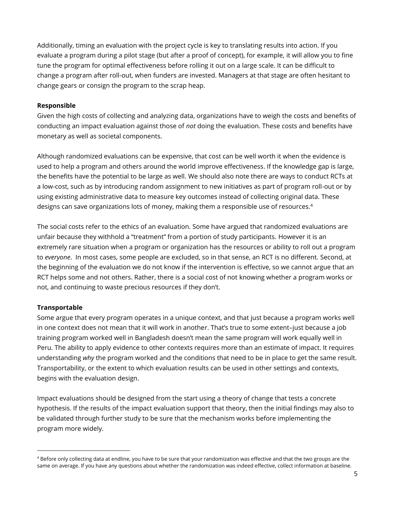Additionally, timing an evaluation with the project cycle is key to translating results into action. If you evaluate a program during a pilot stage (but after a proof of concept), for example, it will allow you to fine tune the program for optimal effectiveness before rolling it out on a large scale. It can be difficult to change a program after roll-out, when funders are invested. Managers at that stage are often hesitant to change gears or consign the program to the scrap heap.

#### **Responsible**

Given the high costs of collecting and analyzing data, organizations have to weigh the costs and benefits of conducting an impact evaluation against those of *not* doing the evaluation. These costs and benefits have monetary as well as societal components.

Although randomized evaluations can be expensive, that cost can be well worth it when the evidence is used to help a program and others around the world improve effectiveness. If the knowledge gap is large, the benefits have the potential to be large as well. We should also note there are ways to conduct RCTs at a low-cost, such as by introducing random assignment to new initiatives as part of program roll-out or by using existing administrative data to measure key outcomes instead of collecting original data. These designs can save organizations lots of money, making them a responsible use of resources.<sup>4</sup>

The social costs refer to the ethics of an evaluation. Some have argued that randomized evaluations are unfair because they withhold a "treatment" from a portion of study participants. However it is an extremely rare situation when a program or organization has the resources or ability to roll out a program to *everyone*. In most cases, some people are excluded, so in that sense, an RCT is no different. Second, at the beginning of the evaluation we do not know if the intervention is effective, so we cannot argue that an RCT helps some and not others. Rather, there is a social cost of not knowing whether a program works or not, and continuing to waste precious resources if they don't.

#### **Transportable**

l

Some argue that every program operates in a unique context, and that just because a program works well in one context does not mean that it will work in another. That's true to some extent–just because a job training program worked well in Bangladesh doesn't mean the same program will work equally well in Peru. The ability to apply evidence to other contexts requires more than an estimate of impact. It requires understanding *why* the program worked and the conditions that need to be in place to get the same result. Transportability, or the extent to which evaluation results can be used in other settings and contexts, begins with the evaluation design.

Impact evaluations should be designed from the start using a theory of change that tests a concrete hypothesis. If the results of the impact evaluation support that theory, then the initial findings may also to be validated through further study to be sure that the mechanism works before implementing the program more widely.

<sup>&</sup>lt;sup>4</sup> Before only collecting data at endline, you have to be sure that your randomization was effective and that the two groups are the same on average. If you have any questions about whether the randomization was indeed effective, collect information at baseline.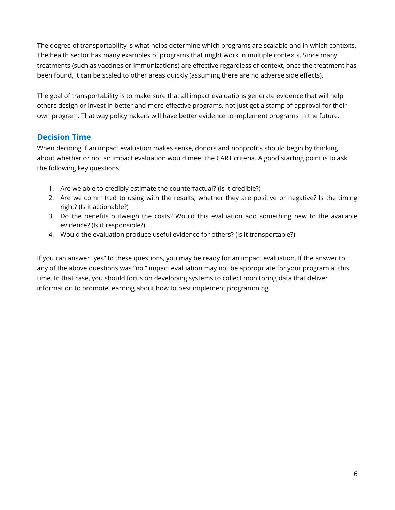The degree of transportability is what helps determine which programs are scalable and in which contexts. The health sector has many examples of programs that might work in multiple contexts. Since many treatments (such as vaccines or immunizations) are effective regardless of context, once the treatment has been found, it can be scaled to other areas quickly (assuming there are no adverse side effects).

The goal of transportability is to make sure that all impact evaluations generate evidence that will help others design or invest in better and more effective programs, not just get a stamp of approval for their own program. That way policymakers will have better evidence to implement programs in the future.

#### **Decision Time**

When deciding if an impact evaluation makes sense, donors and nonprofits should begin by thinking about whether or not an impact evaluation would meet the CART criteria. A good starting point is to ask the following key questions:

- 1. Are we able to credibly estimate the counterfactual? (Is it credible?)
- 2. Are we committed to using with the results, whether they are positive or negative? Is the timing right? (Is it actionable?)
- 3. Do the benefits outweigh the costs? Would this evaluation add something new to the available evidence? (Is it responsible?)
- 4. Would the evaluation produce useful evidence for others? (Is it transportable?)

If you can answer "yes" to these questions, you may be ready for an impact evaluation. If the answer to any of the above questions was "no," impact evaluation may not be appropriate for your program at this time. In that case, you should focus on developing systems to collect monitoring data that deliver information to promote learning about how to best implement programming.